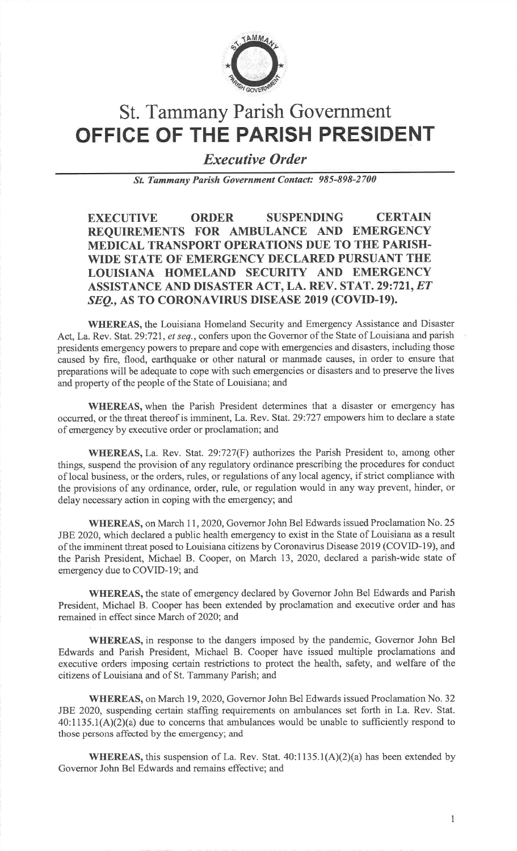

# St. Tammany Parish GovernmentOFFICE OF THE PARISH PRESIDENT

Executive Order

St. Tammany Parish Government Contact: 985-898-2700

EXECUTIVE ORDER SUSPENDING CERTAIN REQUIREMENTS FOR AMBULANCE AND EMERGENCY MEDICAL TRANSPORT OPERATIONS DUE TO THE PARISH. WIDE STATE OF EMERGENCY DECLARED PURSUANT THE LOUISIANA HOMELAND SECURITY AND EMERGENCYASSISTANCE AND DISASTER ACT, LA. REV. STAT. 29:721, *ET* SEQ., AS TO CORONAVIRUS DISEASE 2019 (COVID-19).

WHEREAS, the Louisiana Homeland Security and Emergency Assistance and DisasterAct, La. Rev. Stat. 29:721, et seq., confers upon the Governor of the State of Louisiana and parish presidents emergency powers to prepare and cope with emergencies and disasters, including those caused by fire, flood, earthquake or other natural or manmade causes, in order to ensure that preparations will be adequate to cope with such emergencies or disasters and to preserve the livesand property of the people of the State of Louisiana; and

WHEREAS, when the Parish President determines that a disaster or emergency has occurred, or the threat thereof is imminent, La. Rev. Stat.29:727 empowers him to declare a stateof emergency by executive order or proclamation; and

WHEREAS, La. Rev. Stat. 29:727(F) authorizes the Parish President to, among otherthings, suspend the provision of any regulatory ordinance prescribing the procedures for conduct of local business, or the orders, rules, or regulations of any local agency, if strict compliance with the provisions of any ordinance, order, rule, or regulation would in any way prevent, hinder, ordelay necessary action in coping with the emergency; and

WHEREAS, on March I1,2020, Governor John Bel Edwards issued Proclamation No. <sup>25</sup> JBE 2020, which declared a public health emergency to exist in the State of Louisiana as a result of the imminent threat posed to Louisiana citizens by Coronavirus Disease <sup>2019</sup>(COVID-I9), and the Parish President, Michael B. Cooper, on March 13, 2020, declared a parish-wide state of emergency due to COVID-l9; and

WHEREAS, the state of emergency declared by Governor John Bel Edwards and Parish President, Michael B. Cooper has been extended by proclamation and executive order and hasremained in effect since March of 2020; and

WHEREAS, in response to the dangers imposed by the pandemic, Governor John Bel Edwards and Parish President, Michael B. Cooper have issued multiple proclamations and executive orders imposing certain restrictions to protect the health, safety, and welfare of thecitizens of Louisiana and of St. Tammany Parish; and

WHEREAS, on March 19,2020, Governor John Bel Edwards issued Proclamation No. <sup>32</sup> JBE 2020, suspending certain staffing requirements on ambulances set forth in La. Rev. Stat. 40:1135.1(A)(2)(a) due to concerns that ambulances would be unable to sufficiently respond tothose persons affected by the emergency; and

WHEREAS, this suspension of La. Rev. Stat. 40:1135.1(A)(2)(a) has been extended byGovemor John Bel Edwards and rernains effective; and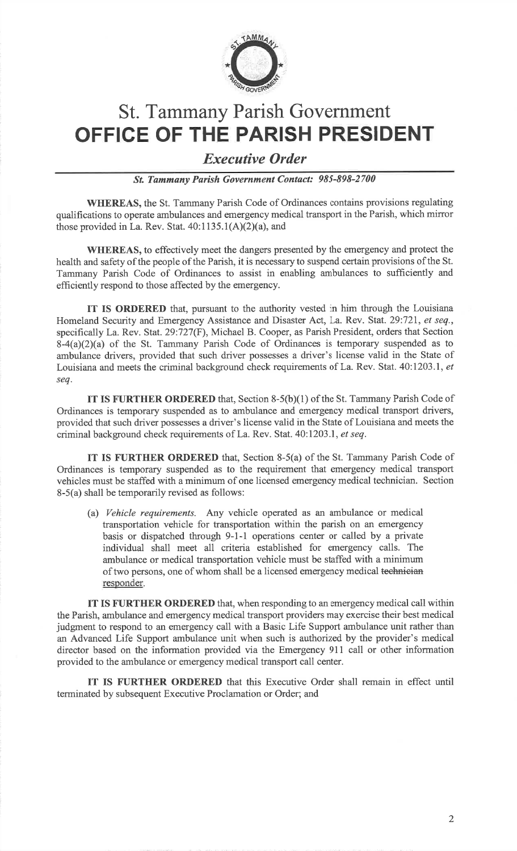

### St. Tammany Parish GovernmentOFFICE OF THE PARISH PRESIDENT

#### Executive Order

St Tammany Parish Government Contact: 985-898-2700

WHEREAS, the St. Tammany Parish Code of Ordinances contains provisions regulating qualifications to operate ambulances and emergency medical transport in the Parish, which mirrorthose provided in La. Rev. Stat. 40:1135.1(A)(2)(a), and

WHEREAS, to effectively meet the dangers presented by the emergency and protect the health and safety of the people of the Parish, it is necessary to suspend certain provisions of the St. Tammany Parish Code of Ordinances to assist in enabling ambulances to sufficiently andefficiently respond to those affected by the emergency.

IT IS ORDERED that, pursuant to the authority vested in him through the LouisianaHomeland Security and Emergency Assistance and Disaster Act, La. Rev. Stat. 29:721, et seq., specifically La. Rev. Stat.29:727(F), Michael B. Cooper, as Parish President, orders that Section $8-4(a)(2)(a)$  of the St. Tammany Parish Code of Ordinances is temporary suspended as to ambulance drivers, provided that such driver possesses a driver's license valid in the State ofLouisiana and meets the criminal background check requirements of La. Rev. Stat. 40:1203.1, et seq.

IT IS FURTHER ORDERED that, Section 8-5(b)(1) of the St. Tammany Parish Code of Ordinances is temporary suspended as to ambulance and emergency medical transport drivers, provided that such driver possesses a driver's license valid in the State of Louisiana and meets thecriminal background check requirements of La. Rev. Stat. 40:1203.1, et seq.

IT IS FURTHER ORDERED that, Section 8-5(a) of the St. Tammany Parish Code of Ordinances is temporary suspended as to the requirement that emergency medical transport vehicles must be staffed with a minimum of one licensed emergency medical technician. Section8-5(a) shall be temporarily revised as follows:

(a) Vehicle requirements. Any vehicle operated as an ambulance or medical transportation vehicle for transportation within the parish on an emergency basis or dispatched through 9-1-1 operations center or called by a private individual shall meet all criteria established for emergency calls. The ambulance or medical transportation vehicle must be staffed with a minimumof two persons, one of whom shall be a licensed emergency medical <del>technician</del> responder.

IT IS FURTHER ORDERED that, when responding to an emergency medical call within the Parish, ambulance and emergency medical transport providers may exercise their best medical judgment to respond to an emergency call with a Basic Life Support ambulance unit rather than an Advanced Life Support ambulance unit when such is authorized by the provider's medical director based on the information provided via the Emergency 911 call or other informationprovided to the ambulance or emergency medical transport call center.

IT IS FURTHER ORDERED that this Executive Order shall remain in effect untilterminated by subsequent Executive Proclamation or Order; and